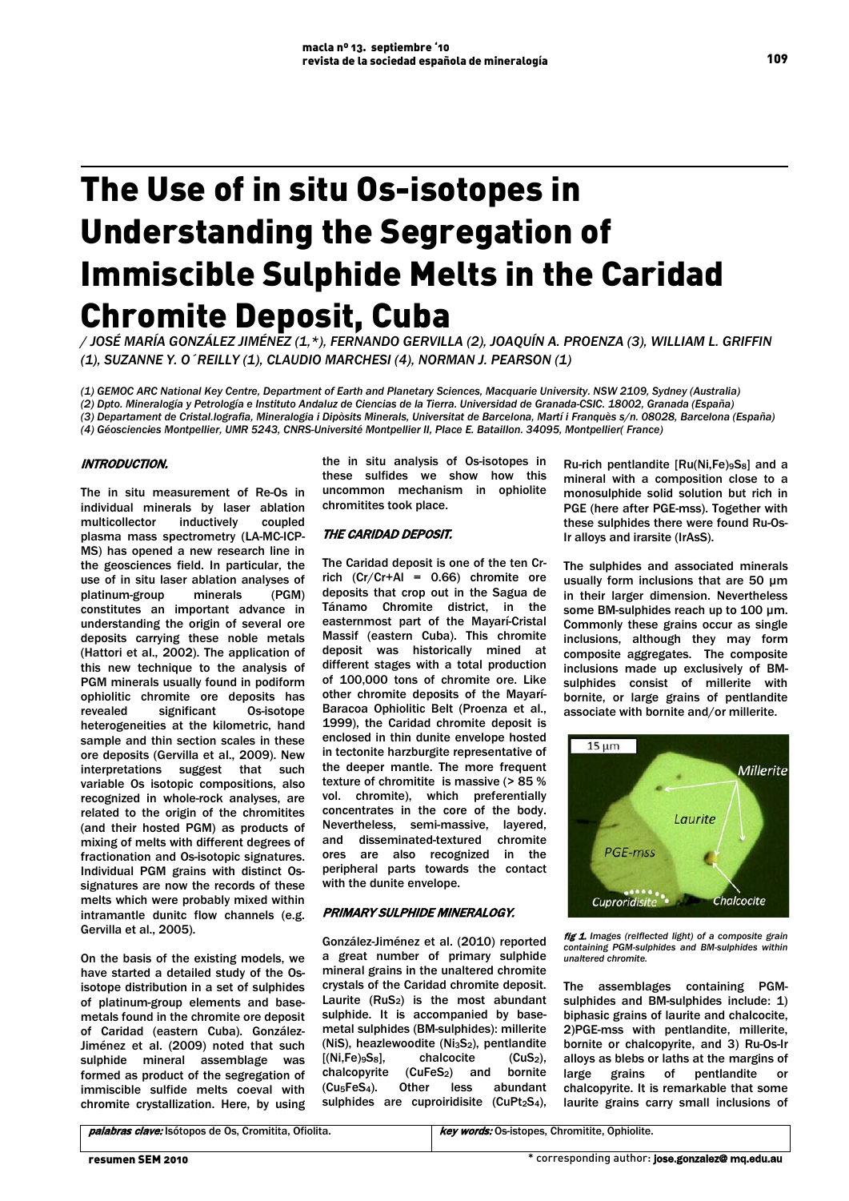# The Use of in situ Os-isotopes in Understanding the Segregation of Immiscible Sulphide Melts in the Caridad Chromite Deposit, Cuba

*/ JOSÉ MARÍA GONZÁLEZ JIMÉNEZ (1,\*), FERNANDO GERVILLA (2), JOAQUÍN A. PROENZA (3), WILLIAM L. GRIFFIN (1), SUZANNE Y. O´REILLY (1), CLAUDIO MARCHESI (4), NORMAN J. PEARSON (1)*

*(1) GEMOC ARC National Key Centre, Department of Earth and Planetary Sciences, Macquarie University. NSW 2109, Sydney (Australia) (2) Dpto. Mineralogía y Petrología e Instituto Andaluz de Ciencias de la Tierra. Universidad de Granada-CSIC. 18002, Granada (España) (3) Departament de Cristal.lografia, Mineralogia i Dipòsits Minerals, Universitat de Barcelona, Martí i Franquès s/n. 08028, Barcelona (España) (4) Géosciencies Montpellier, UMR 5243, CNRS-Université Montpellier II, Place E. Bataillon. 34095, Montpellier( France)* 

# INTRODUCTION.

The in situ measurement of Re-Os in individual minerals by laser ablation multicollector inductively plasma mass spectrometry (LA-MC-ICP-MS) has opened a new research line in the geosciences field. In particular, the use of in situ laser ablation analyses of platinum-group minerals (PGM) constitutes an important advance in understanding the origin of several ore deposits carrying these noble metals (Hattori et al., 2002). The application of this new technique to the analysis of PGM minerals usually found in podiform ophiolitic chromite ore deposits has revealed significant Os-isotope heterogeneities at the kilometric, hand sample and thin section scales in these ore deposits (Gervilla et al., 2009). New interpretations suggest that such variable Os isotopic compositions, also recognized in whole-rock analyses, are related to the origin of the chromitites (and their hosted PGM) as products of mixing of melts with different degrees of fractionation and Os-isotopic signatures. Individual PGM grains with distinct Ossignatures are now the records of these melts which were probably mixed within intramantle dunitc flow channels (e.g. Gervilla et al., 2005).

On the basis of the existing models, we have started a detailed study of the Osisotope distribution in a set of sulphides of platinum-group elements and basemetals found in the chromite ore deposit of Caridad (eastern Cuba). González-Jiménez et al. (2009) noted that such sulphide mineral assemblage was formed as product of the segregation of immiscible sulfide melts coeval with chromite crystallization. Here, by using the in situ analysis of Os-isotopes in these sulfides we show how this uncommon mechanism in ophiolite chromitites took place.

# THE CARIDAD DEPOSIT.

The Caridad deposit is one of the ten Crrich  $(Cr/Cr+Al = 0.66)$  chromite ore deposits that crop out in the Sagua de Tánamo Chromite district, in the easternmost part of the Mayarí-Cristal Massif (eastern Cuba). This chromite deposit was historically mined at different stages with a total production of 100,000 tons of chromite ore. Like other chromite deposits of the Mayarí-Baracoa Ophiolitic Belt (Proenza et al., 1999), the Caridad chromite deposit is enclosed in thin dunite envelope hosted in tectonite harzburgite representative of the deeper mantle. The more frequent texture of chromitite is massive (> 85 % vol. chromite), which preferentially concentrates in the core of the body. Nevertheless, semi-massive, layered,<br>and disseminated-textured chromite disseminated-textured chromite ores are also recognized in the peripheral parts towards the contact with the dunite envelope.

## PRIMARY SULPHIDE MINERALOGY.

González-Jiménez et al. (2010) reported a great number of primary sulphide mineral grains in the unaltered chromite crystals of the Caridad chromite deposit. Laurite  $(RuS_2)$  is the most abundant sulphide. It is accompanied by basemetal sulphides (BM-sulphides): millerite (NiS), heazlewoodite (Ni<sub>3</sub>S<sub>2</sub>), pentlandite  $[(Ni,Fe)_{58}]$ , chalcocite  $(CuS_2)$ .  $[(Ni.Fe)_{9}S_8]$ , chalcopyrite (CuFeS<sub>2</sub>) and bornite (Cu5FeS4). Other less abundant sulphides are cuproiridisite  $(CuPt<sub>2</sub>S<sub>4</sub>)$ ,

Ru-rich pentlandite [Ru(Ni,Fe)9S8] and a mineral with a composition close to a monosulphide solid solution but rich in PGE (here after PGE-mss). Together with these sulphides there were found Ru-Os-Ir alloys and irarsite (IrAsS).

The sulphides and associated minerals usually form inclusions that are 50 µm in their larger dimension. Nevertheless some BM-sulphides reach up to 100 um. Commonly these grains occur as single inclusions, although they may form composite aggregates. The composite inclusions made up exclusively of BMsulphides consist of millerite with bornite, or large grains of pentlandite associate with bornite and/or millerite.



fig 1. Images (relflected light) of a composite grain *containing PGM-sulphides and BM-sulphides within unaltered chromite.*

The assemblages containing PGMsulphides and BM-sulphides include: 1) biphasic grains of laurite and chalcocite, 2)PGE-mss with pentlandite, millerite, bornite or chalcopyrite, and 3) Ru-Os-Ir alloys as blebs or laths at the margins of large grains of pentlandite or chalcopyrite. It is remarkable that some laurite grains carry small inclusions of

palabras clave: Isótopos de Os, Cromitita, Ofiolita. key words: Os-istopes, Chromitite, Ophiolite.